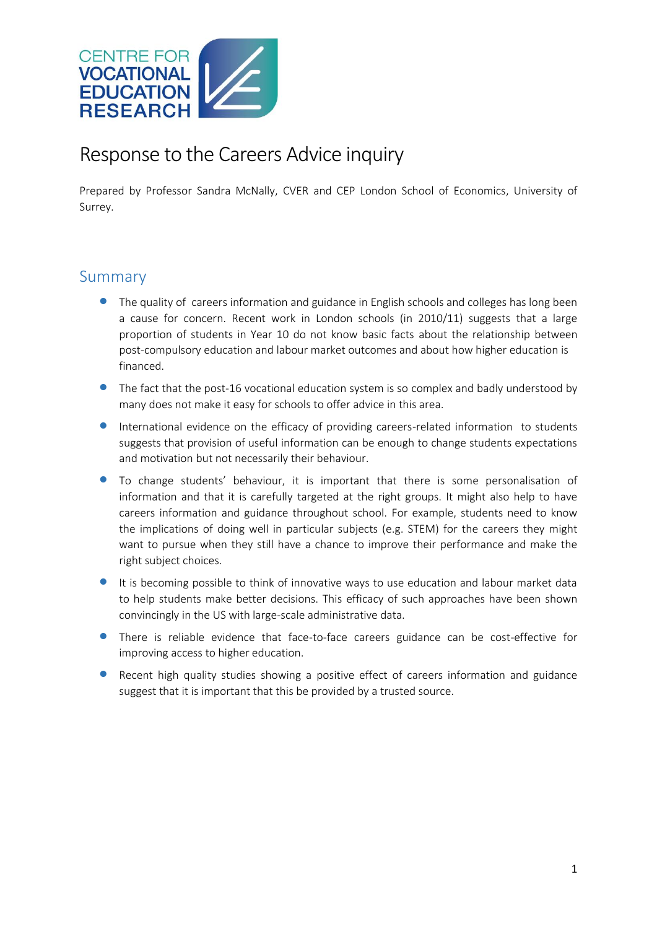

## Response to the Careers Advice inquiry

Prepared by Professor Sandra McNally, CVER and CEP London School of Economics, University of Surrey.

## Summary

- **•** The quality of careers information and guidance in English schools and colleges has long been a cause for concern. Recent work in London schools (in 2010/11) suggests that a large proportion of students in Year 10 do not know basic facts about the relationship between post-compulsory education and labour market outcomes and about how higher education is financed.
- The fact that the post-16 vocational education system is so complex and badly understood by many does not make it easy for schools to offer advice in this area.
- International evidence on the efficacy of providing careers-related information to students suggests that provision of useful information can be enough to change students expectations and motivation but not necessarily their behaviour.
- To change students' behaviour, it is important that there is some personalisation of information and that it is carefully targeted at the right groups. It might also help to have careers information and guidance throughout school. For example, students need to know the implications of doing well in particular subjects (e.g. STEM) for the careers they might want to pursue when they still have a chance to improve their performance and make the right subject choices.
- It is becoming possible to think of innovative ways to use education and labour market data to help students make better decisions. This efficacy of such approaches have been shown convincingly in the US with large-scale administrative data.
- There is reliable evidence that face-to-face careers guidance can be cost-effective for improving access to higher education.
- **•** Recent high quality studies showing a positive effect of careers information and guidance suggest that it is important that this be provided by a trusted source.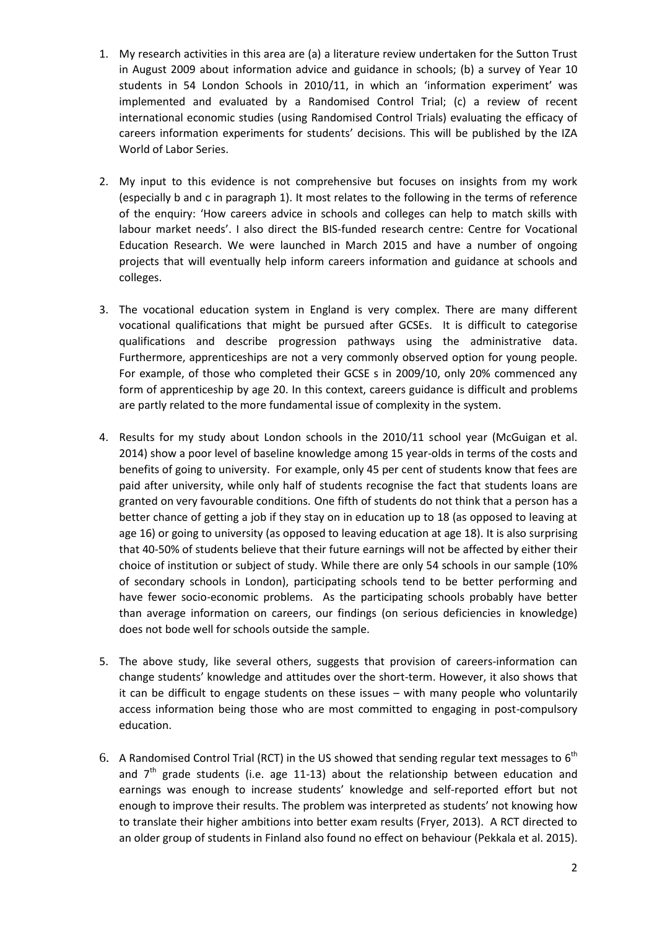- 1. My research activities in this area are (a) a literature review undertaken for the Sutton Trust in August 2009 about information advice and guidance in schools; (b) a survey of Year 10 students in 54 London Schools in 2010/11, in which an 'information experiment' was implemented and evaluated by a Randomised Control Trial; (c) a review of recent international economic studies (using Randomised Control Trials) evaluating the efficacy of careers information experiments for students' decisions. This will be published by the IZA World of Labor Series.
- 2. My input to this evidence is not comprehensive but focuses on insights from my work (especially b and c in paragraph 1). It most relates to the following in the terms of reference of the enquiry: 'How careers advice in schools and colleges can help to match skills with labour market needs'. I also direct the BIS-funded research centre: Centre for Vocational Education Research. We were launched in March 2015 and have a number of ongoing projects that will eventually help inform careers information and guidance at schools and colleges.
- 3. The vocational education system in England is very complex. There are many different vocational qualifications that might be pursued after GCSEs. It is difficult to categorise qualifications and describe progression pathways using the administrative data. Furthermore, apprenticeships are not a very commonly observed option for young people. For example, of those who completed their GCSE s in 2009/10, only 20% commenced any form of apprenticeship by age 20. In this context, careers guidance is difficult and problems are partly related to the more fundamental issue of complexity in the system.
- 4. Results for my study about London schools in the 2010/11 school year (McGuigan et al. 2014) show a poor level of baseline knowledge among 15 year-olds in terms of the costs and benefits of going to university. For example, only 45 per cent of students know that fees are paid after university, while only half of students recognise the fact that students loans are granted on very favourable conditions. One fifth of students do not think that a person has a better chance of getting a job if they stay on in education up to 18 (as opposed to leaving at age 16) or going to university (as opposed to leaving education at age 18). It is also surprising that 40-50% of students believe that their future earnings will not be affected by either their choice of institution or subject of study. While there are only 54 schools in our sample (10% of secondary schools in London), participating schools tend to be better performing and have fewer socio-economic problems. As the participating schools probably have better than average information on careers, our findings (on serious deficiencies in knowledge) does not bode well for schools outside the sample.
- 5. The above study, like several others, suggests that provision of careers-information can change students' knowledge and attitudes over the short-term. However, it also shows that it can be difficult to engage students on these issues – with many people who voluntarily access information being those who are most committed to engaging in post-compulsory education.
- 6. A Randomised Control Trial (RCT) in the US showed that sending regular text messages to  $6<sup>th</sup>$ and  $7<sup>th</sup>$  grade students (i.e. age 11-13) about the relationship between education and earnings was enough to increase students' knowledge and self-reported effort but not enough to improve their results. The problem was interpreted as students' not knowing how to translate their higher ambitions into better exam results (Fryer, 2013). A RCT directed to an older group of students in Finland also found no effect on behaviour (Pekkala et al. 2015).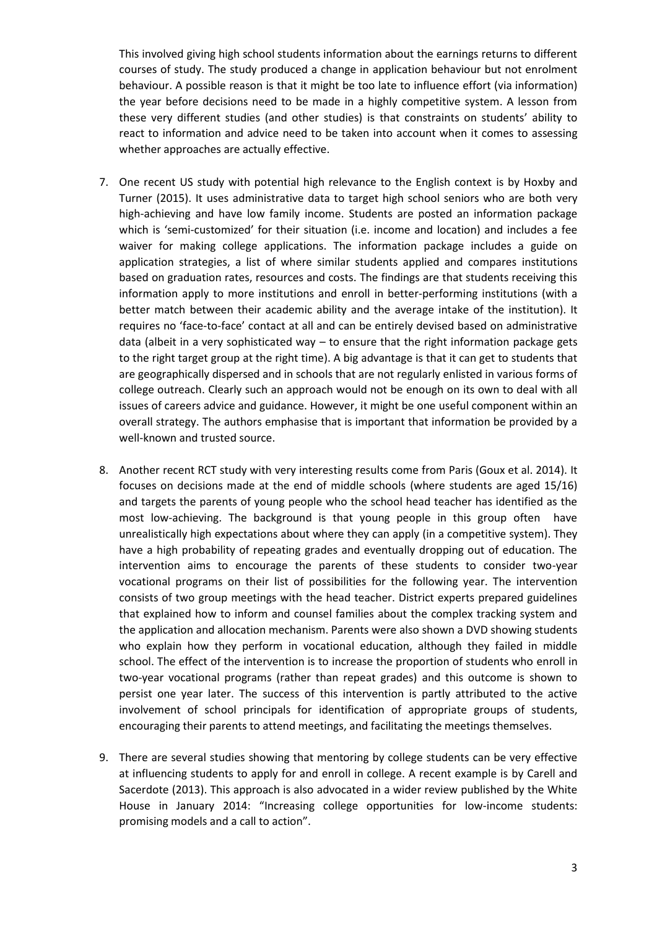This involved giving high school students information about the earnings returns to different courses of study. The study produced a change in application behaviour but not enrolment behaviour. A possible reason is that it might be too late to influence effort (via information) the year before decisions need to be made in a highly competitive system. A lesson from these very different studies (and other studies) is that constraints on students' ability to react to information and advice need to be taken into account when it comes to assessing whether approaches are actually effective.

- 7. One recent US study with potential high relevance to the English context is by Hoxby and Turner (2015). It uses administrative data to target high school seniors who are both very high-achieving and have low family income. Students are posted an information package which is 'semi-customized' for their situation (i.e. income and location) and includes a fee waiver for making college applications. The information package includes a guide on application strategies, a list of where similar students applied and compares institutions based on graduation rates, resources and costs. The findings are that students receiving this information apply to more institutions and enroll in better-performing institutions (with a better match between their academic ability and the average intake of the institution). It requires no 'face-to-face' contact at all and can be entirely devised based on administrative data (albeit in a very sophisticated way  $-$  to ensure that the right information package gets to the right target group at the right time). A big advantage is that it can get to students that are geographically dispersed and in schools that are not regularly enlisted in various forms of college outreach. Clearly such an approach would not be enough on its own to deal with all issues of careers advice and guidance. However, it might be one useful component within an overall strategy. The authors emphasise that is important that information be provided by a well-known and trusted source.
- 8. Another recent RCT study with very interesting results come from Paris (Goux et al. 2014). It focuses on decisions made at the end of middle schools (where students are aged 15/16) and targets the parents of young people who the school head teacher has identified as the most low-achieving. The background is that young people in this group often have unrealistically high expectations about where they can apply (in a competitive system). They have a high probability of repeating grades and eventually dropping out of education. The intervention aims to encourage the parents of these students to consider two-year vocational programs on their list of possibilities for the following year. The intervention consists of two group meetings with the head teacher. District experts prepared guidelines that explained how to inform and counsel families about the complex tracking system and the application and allocation mechanism. Parents were also shown a DVD showing students who explain how they perform in vocational education, although they failed in middle school. The effect of the intervention is to increase the proportion of students who enroll in two-year vocational programs (rather than repeat grades) and this outcome is shown to persist one year later. The success of this intervention is partly attributed to the active involvement of school principals for identification of appropriate groups of students, encouraging their parents to attend meetings, and facilitating the meetings themselves.
- 9. There are several studies showing that mentoring by college students can be very effective at influencing students to apply for and enroll in college. A recent example is by Carell and Sacerdote (2013). This approach is also advocated in a wider review published by the White House in January 2014: "Increasing college opportunities for low-income students: promising models and a call to action".